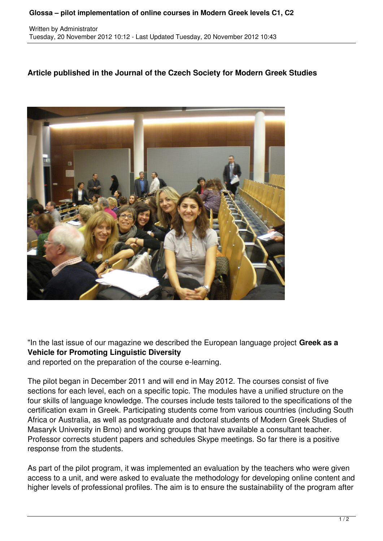## **Glossa – pilot implementation of online courses in Modern Greek levels C1, C2**

Written by Administrator Tuesday, 20 November 2012 10:12 - Last Updated Tuesday, 20 November 2012 10:43

## **Article published in the Journal of the Czech Society for Modern Greek Studies**



"In the last issue of our magazine we described the European language project **Greek as a Vehicle for Promoting Linguistic Diversity**

and reported on the preparation of the course e-learning.

The pilot began in December 2011 and will end in May 2012. The courses consist of five sections for each level, each on a specific topic. The modules have a unified structure on the four skills of language knowledge. The courses include tests tailored to the specifications of the certification exam in Greek. Participating students come from various countries (including South Africa or Australia, as well as postgraduate and doctoral students of Modern Greek Studies of Masaryk University in Brno) and working groups that have available a consultant teacher. Professor corrects student papers and schedules Skype meetings. So far there is a positive response from the students.

As part of the pilot program, it was implemented an evaluation by the teachers who were given access to a unit, and were asked to evaluate the methodology for developing online content and higher levels of professional profiles. The aim is to ensure the sustainability of the program after